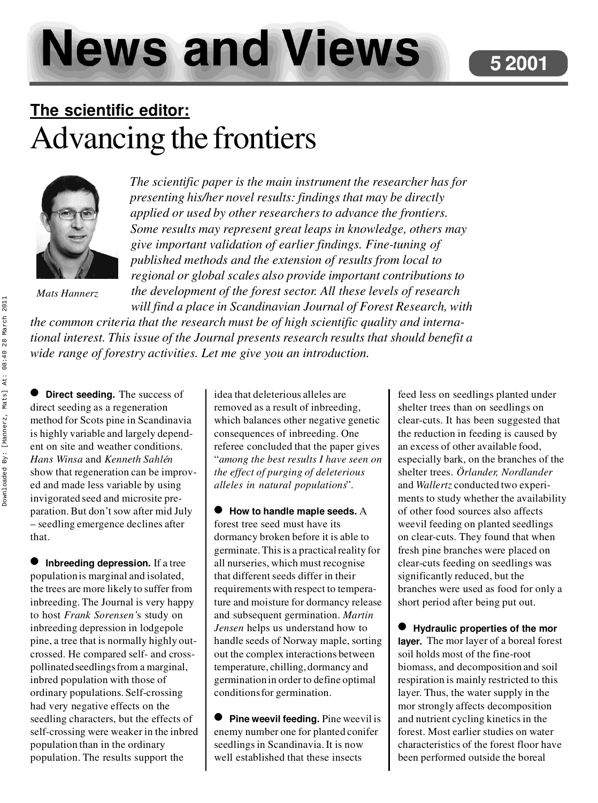**News and Views** 

## **The scientific editor:** Advancing the frontiers



*Mats Hannerz*

*The scientific paper is the main instrument the researcher has for presenting his/her novel results: findings that may be directly applied or used by other researchers to advance the frontiers. Some results may represent great leaps in knowledge, others may give important validation of earlier findings. Fine-tuning of published methods and the extension of results from local to regional or global scales also provide important contributions to the development of the forest sector. All these levels of research will find a place in Scandinavian Journal of Forest Research, with*

*the common criteria that the research must be of high scientific quality and international interest. This issue of the Journal presents research results that should benefit a wide range of forestry activities. Let me give you an introduction.*

 $\bullet$  Direct seeding. The success of direct seeding as a regeneration method for Scots pine in Scandinavia is highly variable and largely dependent on site and weather conditions. *Hans Winsa* and *Kenneth Sahlén* show that regeneration can be improved and made less variable by using invigorated seed and microsite preparation. But don't sow after mid July – seedling emergence declines after that.

 $\bullet$  Inbreeding depression. If a tree population is marginal and isolated, the trees are more likely to suffer from inbreeding. The Journal is very happy to host *Frank Sorensen'*s study on inbreeding depression in lodgepole pine, a tree that is normally highly outcrossed. He compared self- and crosspollinated seedlings from a marginal, inbred population with those of ordinary populations. Self-crossing had very negative effects on the seedling characters, but the effects of self-crossing were weaker in the inbred population than in the ordinary population. The results support the

idea that deleterious alleles are removed as a result of inbreeding, which balances other negative genetic consequences of inbreeding. One referee concluded that the paper gives "*among the best results I have seen on the effect of purging of deleterious alleles in natural populations*".

l **How to handle maple seeds.** A forest tree seed must have its dormancy broken before it is able to germinate. This is a practical reality for all nurseries, which must recognise that different seeds differ in their requirements with respect to temperature and moisture for dormancy release and subsequent germination. *Martin Jensen* helps us understand how to handle seeds of Norway maple, sorting out the complex interactions between temperature, chilling, dormancy and germination in order to define optimal conditions for germination.

**• Pine weevil feeding.** Pine weevil is enemy number one for planted conifer seedlings in Scandinavia. It is now well established that these insects

feed less on seedlings planted under shelter trees than on seedlings on clear-cuts. It has been suggested that the reduction in feeding is caused by an excess of other available food, especially bark, on the branches of the shelter trees. *Örlander, Nordlander* and *Wallertz* conducted two experiments to study whether the availability of other food sources also affects weevil feeding on planted seedlings on clear-cuts. They found that when fresh pine branches were placed on clear-cuts feeding on seedlings was significantly reduced, but the branches were used as food for only a short period after being put out.

l **Hydraulic properties of the mor layer.** The mor layer of a boreal forest soil holds most of the fine-root biomass, and decomposition and soil respiration is mainly restricted to this layer. Thus, the water supply in the mor strongly affects decomposition and nutrient cycling kinetics in the forest. Most earlier studies on water characteristics of the forest floor have been performed outside the boreal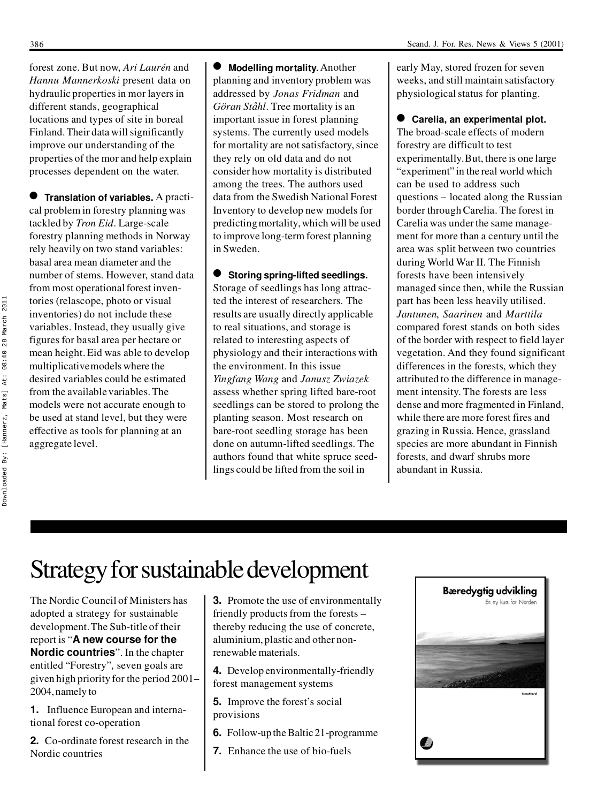forest zone. But now, *Ari Laurén* and *Hannu Mannerkoski* present data on hydraulic properties in mor layers in different stands, geographical locations and types of site in boreal Finland. Their data will significantly improve our understanding of the properties of the mor and help explain processes dependent on the water.

 $\bullet$  Translation of variables. A practical problem in forestry planning was tackled by *Tron Eid*. Large-scale forestry planning methods in Norway rely heavily on two stand variables: basal area mean diameter and the number of stems. However, stand data from most operational forest inventories (relascope, photo or visual inventories) do not include these variables. Instead, they usually give figures for basal area per hectare or mean height. Eid was able to develop multiplicative models where the desired variables could be estimated from the available variables. The models were not accurate enough to be used at stand level, but they were effective as tools for planning at an aggregate level.

 $\bullet$  Modelling mortality. Another planning and inventory problem was addressed by *Jonas Fridman* and *Göran Ståhl*. Tree mortality is an important issue in forest planning systems. The currently used models for mortality are not satisfactory, since they rely on old data and do not consider how mortality is distributed among the trees. The authors used data from the Swedish National Forest Inventory to develop new models for predicting mortality, which will be used to improve long-term forest planning in Sweden.

 $\bullet$  Storing spring-lifted seedlings. Storage of seedlings has long attracted the interest of researchers. The results are usually directly applicable to real situations, and storage is related to interesting aspects of physiology and their interactions with the environment. In this issue *Yingfang Wang* and *Janusz Zwiazek* assess whether spring lifted bare-root seedlings can be stored to prolong the planting season. Most research on bare-root seedling storage has been done on autumn-lifted seedlings. The authors found that white spruce seedlings could be lifted from the soil in

early May, stored frozen for seven weeks, and still maintain satisfactory physiological status for planting.

**Carelia, an experimental plot.** The broad-scale effects of modern forestry are difficult to test experimentally. But, there is one large "experiment" in the real world which can be used to address such questions – located along the Russian border through Carelia. The forest in Carelia was under the same management for more than a century until the area was split between two countries during World War II. The Finnish forests have been intensively managed since then, while the Russian part has been less heavily utilised. *Jantunen*, *Saarinen* and *Marttila* compared forest stands on both sides of the border with respect to field layer vegetation. And they found significant differences in the forests, which they attributed to the difference in management intensity. The forests are less dense and more fragmented in Finland, while there are more forest fires and grazing in Russia. Hence, grassland species are more abundant in Finnish forests, and dwarf shrubs more abundant in Russia.

## Strategy for sustainable development

The Nordic Council of Ministers has adopted a strategy for sustainable development. The Sub-title of their report is "**A new course for the Nordic countries**". In the chapter entitled "Forestry", seven goals are given high priority for the period 2001– 2004, namely to

**1.** Influence European and international forest co-operation

**2.** Co-ordinate forest research in the Nordic countries

**3.** Promote the use of environmentally friendly products from the forests – thereby reducing the use of concrete, aluminium, plastic and other nonrenewable materials.

**4.** Develop environmentally-friendly forest management systems

**5.** Improve the forest's social provisions

- **6.** Follow-up the Baltic 21-programme
- **7.** Enhance the use of bio-fuels

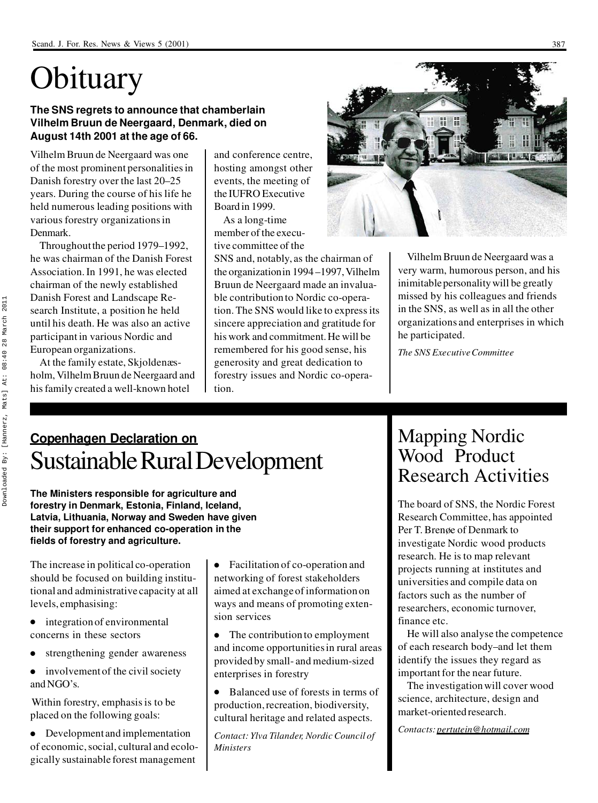# **Obituary**

#### **The SNS regrets to announce that chamberlain Vilhelm Bruun de Neergaard, Denmark, died on August 14th 2001 at the age of 66.**

Vilhelm Bruun de Neergaard was one of the most prominent personalities in Danish forestry over the last 20–25 years. During the course of his life he held numerous leading positions with various forestry organizations in Denmark.

Throughout the period 1979–1992, he was chairman of the Danish Forest Association. In 1991, he was elected chairman of the newly established Danish Forest and Landscape Research Institute, a position he held until his death. He was also an active participant in various Nordic and European organizations.

At the family estate, Skjoldenæsholm, Vilhelm Bruun de Neergaard and his family created a well-known hotel

and conference centre, hosting amongst other events, the meeting of the IUFRO Executive Board in 1999.

As a long-time member of the executive committee of the

SNS and, notably, as the chairman of the organization in 1994 –1997, Vilhelm Bruun de Neergaard made an invaluable contribution to Nordic co-operation. The SNS would like to express its sincere appreciation and gratitude for his work and commitment. He will be remembered for his good sense, his generosity and great dedication to forestry issues and Nordic co-operation.



Vilhelm Bruun de Neergaard was a very warm, humorous person, and his inimitable personality will be greatly missed by his colleagues and friends in the SNS, as well as in all the other organizations and enterprises in which he participated.

*The SNS Executive Committee*

### **Copenhagen Declaration on** Sustainable Rural Development

**The Ministers responsible for agriculture and forestry in Denmark, Estonia, Finland, Iceland, Latvia, Lithuania, Norway and Sweden have given their support for enhanced co-operation in the fields of forestry and agriculture.**

The increase in political co-operation should be focused on building institutional and administrative capacity at all levels, emphasising:

- $\bullet$  integration of environmental concerns in these sectors
- strengthening gender awareness
- $\bullet$  involvement of the civil society and NGO's.

Within forestry, emphasis is to be placed on the following goals:

• Development and implementation of economic, social, cultural and ecologically sustainable forest management • Facilitation of co-operation and networking of forest stakeholders aimed at exchange of information on ways and means of promoting extension services

 $\bullet$  The contribution to employment and income opportunities in rural areas provided by small- and medium-sized enterprises in forestry

 $\bullet$  Balanced use of forests in terms of production, recreation, biodiversity, cultural heritage and related aspects.

*Contact: Ylva Tilander, Nordic Council of Ministers*

#### Mapping Nordic Wood Product Research Activities

The board of SNS, the Nordic Forest Research Committee, has appointed Per T. Brenøe of Denmark to investigate Nordic wood products research. He is to map relevant projects running at institutes and universities and compile data on factors such as the number of researchers, economic turnover, finance etc.

He will also analyse the competence of each research body–and let them identify the issues they regard as important for the near future.

The investigation will cover wood science, architecture, design and market-oriented research.

*Contacts: pertutein@hotmail.com*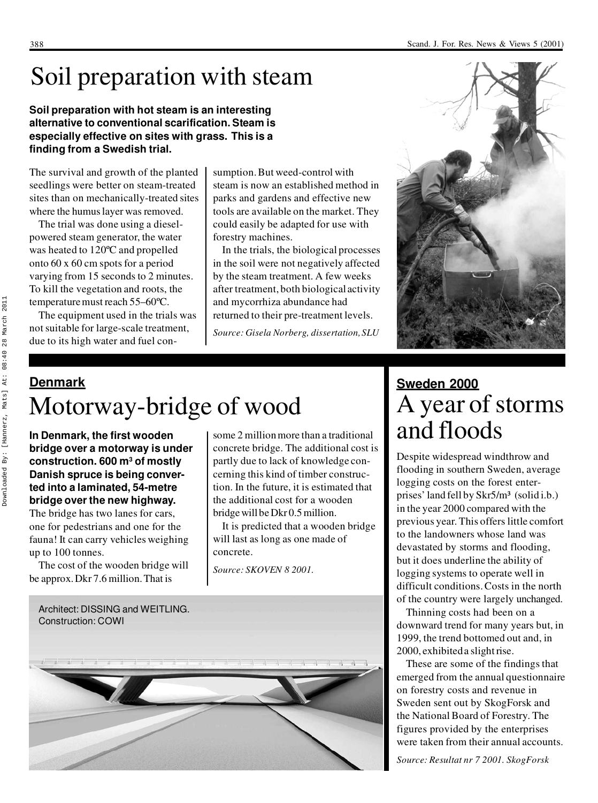## Soil preparation with steam

**Soil preparation with hot steam is an interesting alternative to conventional scarification. Steam is especially effective on sites with grass. This is a finding from a Swedish trial.**

The survival and growth of the planted seedlings were better on steam-treated sites than on mechanically-treated sites where the humus layer was removed.

The trial was done using a dieselpowered steam generator, the water was heated to 120ºC and propelled onto 60 x 60 cm spots for a period varying from 15 seconds to 2 minutes. To kill the vegetation and roots, the temperature must reach 55–60ºC.

The equipment used in the trials was not suitable for large-scale treatment, due to its high water and fuel consumption. But weed-control with steam is now an established method in parks and gardens and effective new tools are available on the market. They could easily be adapted for use with forestry machines.

In the trials, the biological processes in the soil were not negatively affected by the steam treatment. A few weeks after treatment, both biological activity and mycorrhiza abundance had returned to their pre-treatment levels.

*Source: Gisela Norberg, dissertation, SLU*



## **Denmark** Motorway-bridge of wood

**In Denmark, the first wooden bridge over a motorway is under construction. 600 m<sup>3</sup> of mostly Danish spruce is being converted into a laminated, 54-metre bridge over the new highway.**

The bridge has two lanes for cars, one for pedestrians and one for the fauna! It can carry vehicles weighing up to 100 tonnes.

The cost of the wooden bridge will be approx. Dkr 7.6 million. That is

some 2 million more than a traditional concrete bridge. The additional cost is partly due to lack of knowledge concerning this kind of timber construction. In the future, it is estimated that the additional cost for a wooden bridge will be Dkr 0.5 million.

It is predicted that a wooden bridge will last as long as one made of concrete.

*Source: SKOVEN 8 2001.*



## **Sweden 2000** A year of storms and floods

Despite widespread windthrow and flooding in southern Sweden, average logging costs on the forest enterprises' land fell by Skr5/m<sup>3</sup> (solid i.b.) in the year 2000 compared with the previous year. This offers little comfort to the landowners whose land was devastated by storms and flooding, but it does underline the ability of logging systems to operate well in difficult conditions. Costs in the north of the country were largely unchanged.

Thinning costs had been on a downward trend for many years but, in 1999, the trend bottomed out and, in 2000, exhibited a slight rise.

These are some of the findings that emerged from the annual questionnaire on forestry costs and revenue in Sweden sent out by SkogForsk and the National Board of Forestry. The figures provided by the enterprises were taken from their annual accounts.

*Source: Resultat nr 7 2001. SkogForsk*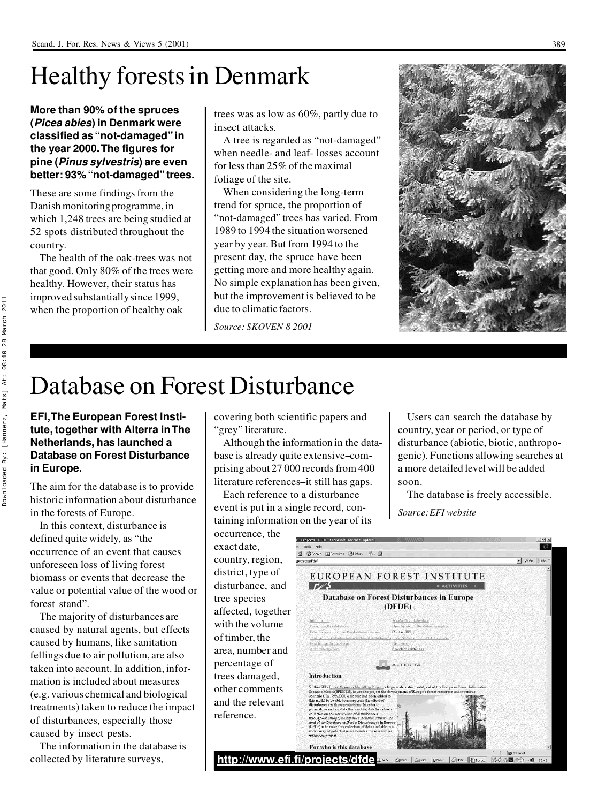## Healthy forests in Denmark

**More than 90% of the spruces (***Picea abies***) in Denmark were classified as "not-damaged" in the year 2000. The figures for pine (***Pinus sylvestris***) are even better: 93% "not-damaged" trees.**

These are some findings from the Danish monitoring programme, in which 1,248 trees are being studied at 52 spots distributed throughout the country.

The health of the oak-trees was not that good. Only 80% of the trees were healthy. However, their status has improved substantially since 1999, when the proportion of healthy oak

trees was as low as 60%, partly due to insect attacks.

A tree is regarded as "not-damaged" when needle- and leaf- losses account for less than 25% of the maximal foliage of the site.

When considering the long-term trend for spruce, the proportion of "not-damaged" trees has varied. From 1989 to 1994 the situation worsened year by year. But from 1994 to the present day, the spruce have been getting more and more healthy again. No simple explanation has been given, but the improvement is believed to be due to climatic factors.

*Source: SKOVEN 8 2001*



## Database on Forest Disturbance

#### **EFI, The European Forest Institute, together with Alterra in The Netherlands, has launched a Database on Forest Disturbance in Europe.**

The aim for the database is to provide historic information about disturbance in the forests of Europe.

In this context, disturbance is defined quite widely, as "the occurrence of an event that causes unforeseen loss of living forest biomass or events that decrease the value or potential value of the wood or forest stand".

The majority of disturbances are caused by natural agents, but effects caused by humans, like sanitation fellings due to air pollution, are also taken into account. In addition, information is included about measures (e.g. various chemical and biological treatments) taken to reduce the impact of disturbances, especially those caused by insect pests.

The information in the database is collected by literature surveys,

covering both scientific papers and "grey" literature.

Although the information in the database is already quite extensive–comprising about 27 000 records from 400 literature references–it still has gaps.

Each reference to a disturbance event is put in a single record, containing information on the year of its

OCCUITENCE, the exact date, country, region, district, type of disturbance, and tree species affected, together with the volume of timber, the area, number and percentage of trees damaged, other comments and the relevant reference.

Users can search the database by country, year or period, or type of disturbance (abiotic, biotic, anthropogenic). Functions allowing searches at a more detailed level will be added soon.

The database is freely accessible.

*Source: EFI website*